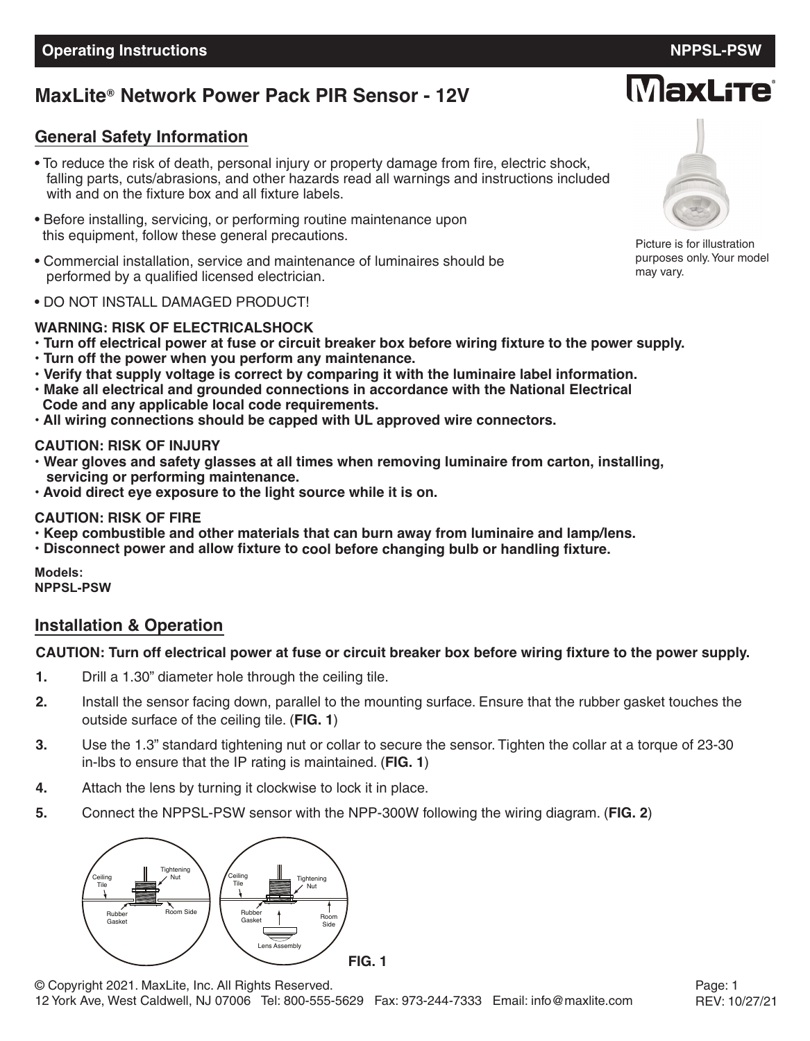## **MaxLite Network Power Pack PIR Sensor - 12V ®**

## **General Safety Information**

- To reduce the risk of death, personal injury or property damage from fire, electric shock, falling parts, cuts/abrasions, and other hazards read all warnings and instructions included with and on the fixture box and all fixture labels.
- Before installing, servicing, or performing routine maintenance upon this equipment, follow these general precautions.
- Commercial installation, service and maintenance of luminaires should be performed by a qualified licensed electrician.
- DO NOT INSTALL DAMAGED PRODUCT!

## **WARNING: RISK OF ELECTRICALSHOCK**

- . Turn off electrical power at fuse or circuit breaker box before wiring fixture to the power supply.
- **• Turn off the power when you perform any maintenance.**
- **• Verify that supply voltage is correct by comparing it with the luminaire label information.**
- **• Make all electrical and grounded connections in accordance with the National Electrical Code and any applicable local code requirements.**
- **• All wiring connections should be capped with UL approved wire connectors.**

## **CAUTION: RISK OF INJURY**

- **• Wear gloves and safety glasses at all times when removing luminaire from carton, installing, servicing or performing maintenance.**
- **• Avoid direct eye exposure to the light source while it is on.**

## **CAUTION: RISK OF FIRE**

- **• Keep combustible and other materials that can burn away from luminaire and lamp/lens.**
- **• Disconnect power and allow fixture to cool before changing bulb or handling fixture.**

**Models: NPPSL-PSW**

## **Installation & Operation**

#### CAUTION: Turn off electrical power at fuse or circuit breaker box before wiring fixture to the power supply.

- **1.** Drill a 1.30" diameter hole through the ceiling tile.
- **2.** Install the sensor facing down, parallel to the mounting surface. Ensure that the rubber gasket touches the outside surface of the ceiling tile. (**FIG. 1**)
- **3.** Use the 1.3" standard tightening nut or collar to secure the sensor. Tighten the collar at a torque of 23-30 in-lbs to ensure that the IP rating is maintained. (**FIG. 1**)
- **4.** Attach the lens by turning it clockwise to lock it in place.
- **5.** Connect the NPPSL-PSW sensor with the NPP-300W following the wiring diagram. (**FIG. 2**)





Picture is for illustration purposes only.Your model may vary.

# **MaxLite**